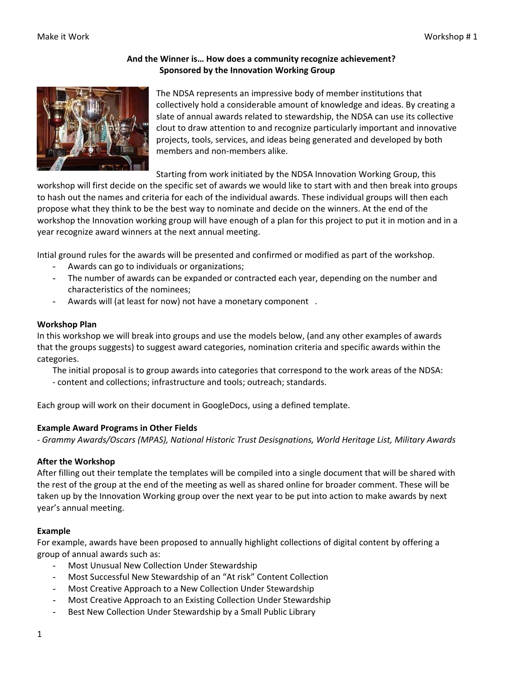## **And the Winner is… How does a community recognize achievement? Sponsored by the Innovation Working Group**



The NDSA represents an impressive body of member institutions that collectively hold a considerable amount of knowledge and ideas. By creating a slate of annual awards related to stewardship, the NDSA can use its collective clout to draw attention to and recognize particularly important and innovative projects, tools, services, and ideas being generated and developed by both members and non‐members alike.

Starting from work initiated by the NDSA Innovation Working Group, this

workshop will first decide on the specific set of awards we would like to start with and then break into groups to hash out the names and criteria for each of the individual awards. These individual groups will then each propose what they think to be the best way to nominate and decide on the winners. At the end of the workshop the Innovation working group will have enough of a plan for this project to put it in motion and in a year recognize award winners at the next annual meeting.

Intial ground rules for the awards will be presented and confirmed or modified as part of the workshop.

- Awards can go to individuals or organizations;
- The number of awards can be expanded or contracted each year, depending on the number and characteristics of the nominees;
- Awards will (at least for now) not have a monetary component .

#### **Workshop Plan**

In this workshop we will break into groups and use the models below, (and any other examples of awards that the groups suggests) to suggest award categories, nomination criteria and specific awards within the categories.

The initial proposal is to group awards into categories that correspond to the work areas of the NDSA: ‐ content and collections; infrastructure and tools; outreach; standards.

Each group will work on their document in GoogleDocs, using a defined template.

## **Example Award Programs in Other Fields**

*‐ Grammy Awards/Oscars (MPAS), National Historic Trust Desisgnations, World Heritage List, Military Awards*

#### **After the Workshop**

After filling out their template the templates will be compiled into a single document that will be shared with the rest of the group at the end of the meeting as well as shared online for broader comment. These will be taken up by the Innovation Working group over the next year to be put into action to make awards by next year's annual meeting.

## **Example**

For example, awards have been proposed to annually highlight collections of digital content by offering a group of annual awards such as:

- Most Unusual New Collection Under Stewardship
- Most Successful New Stewardship of an "At risk" Content Collection
- Most Creative Approach to a New Collection Under Stewardship
- Most Creative Approach to an Existing Collection Under Stewardship
- Best New Collection Under Stewardship by a Small Public Library